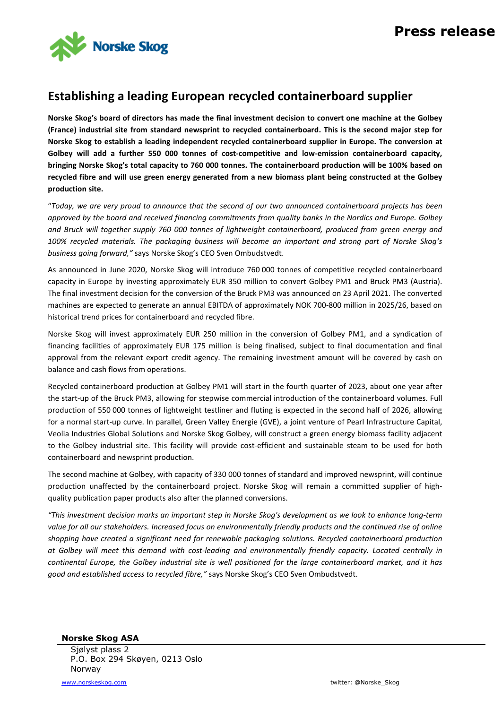

## **Establishing a leading European recycled containerboard supplier**

**Norske Skog's board of directors has made the final investment decision to convert one machine at the Golbey (France) industrial site from standard newsprint to recycled containerboard. This is the second major step for Norske Skog to establish a leading independent recycled containerboard supplier in Europe. The conversion at Golbey will add a further 550 000 tonnes of cost-competitive and low-emission containerboard capacity, bringing Norske Skog's total capacity to 760 000 tonnes. The containerboard production will be 100% based on recycled fibre and will use green energy generated from a new biomass plant being constructed at the Golbey production site.**

"*Today, we are very proud to announce that the second of our two announced containerboard projects has been approved by the board and received financing commitments from quality banks in the Nordics and Europe. Golbey and Bruck will together supply 760 000 tonnes of lightweight containerboard, produced from green energy and 100% recycled materials. The packaging business will become an important and strong part of Norske Skog's business going forward,"* says Norske Skog's CEO Sven Ombudstvedt.

As announced in June 2020, Norske Skog will introduce 760 000 tonnes of competitive recycled containerboard capacity in Europe by investing approximately EUR 350 million to convert Golbey PM1 and Bruck PM3 (Austria). The final investment decision for the conversion of the Bruck PM3 was announced on 23 April 2021. The converted machines are expected to generate an annual EBITDA of approximately NOK 700-800 million in 2025/26, based on historical trend prices for containerboard and recycled fibre.

Norske Skog will invest approximately EUR 250 million in the conversion of Golbey PM1, and a syndication of financing facilities of approximately EUR 175 million is being finalised, subject to final documentation and final approval from the relevant export credit agency. The remaining investment amount will be covered by cash on balance and cash flows from operations.

Recycled containerboard production at Golbey PM1 will start in the fourth quarter of 2023, about one year after the start-up of the Bruck PM3, allowing for stepwise commercial introduction of the containerboard volumes. Full production of 550 000 tonnes of lightweight testliner and fluting is expected in the second half of 2026, allowing for a normal start-up curve. In parallel, Green Valley Energie (GVE), a joint venture of Pearl Infrastructure Capital, Veolia Industries Global Solutions and Norske Skog Golbey, will construct a green energy biomass facility adjacent to the Golbey industrial site. This facility will provide cost-efficient and sustainable steam to be used for both containerboard and newsprint production.

The second machine at Golbey, with capacity of 330 000 tonnes of standard and improved newsprint, will continue production unaffected by the containerboard project. Norske Skog will remain a committed supplier of highquality publication paper products also after the planned conversions.

*"This investment decision marks an important step in Norske Skog's development as we look to enhance long-term value for all our stakeholders. Increased focus on environmentally friendly products and the continued rise of online shopping have created a significant need for renewable packaging solutions. Recycled containerboard production at Golbey will meet this demand with cost-leading and environmentally friendly capacity. Located centrally in continental Europe, the Golbey industrial site is well positioned for the large containerboard market, and it has good and established access to recycled fibre,"* says Norske Skog's CEO Sven Ombudstvedt.

**Norske Skog ASA** Sjølyst plass 2 P.O. Box 294 Skøyen, 0213 Oslo Norway